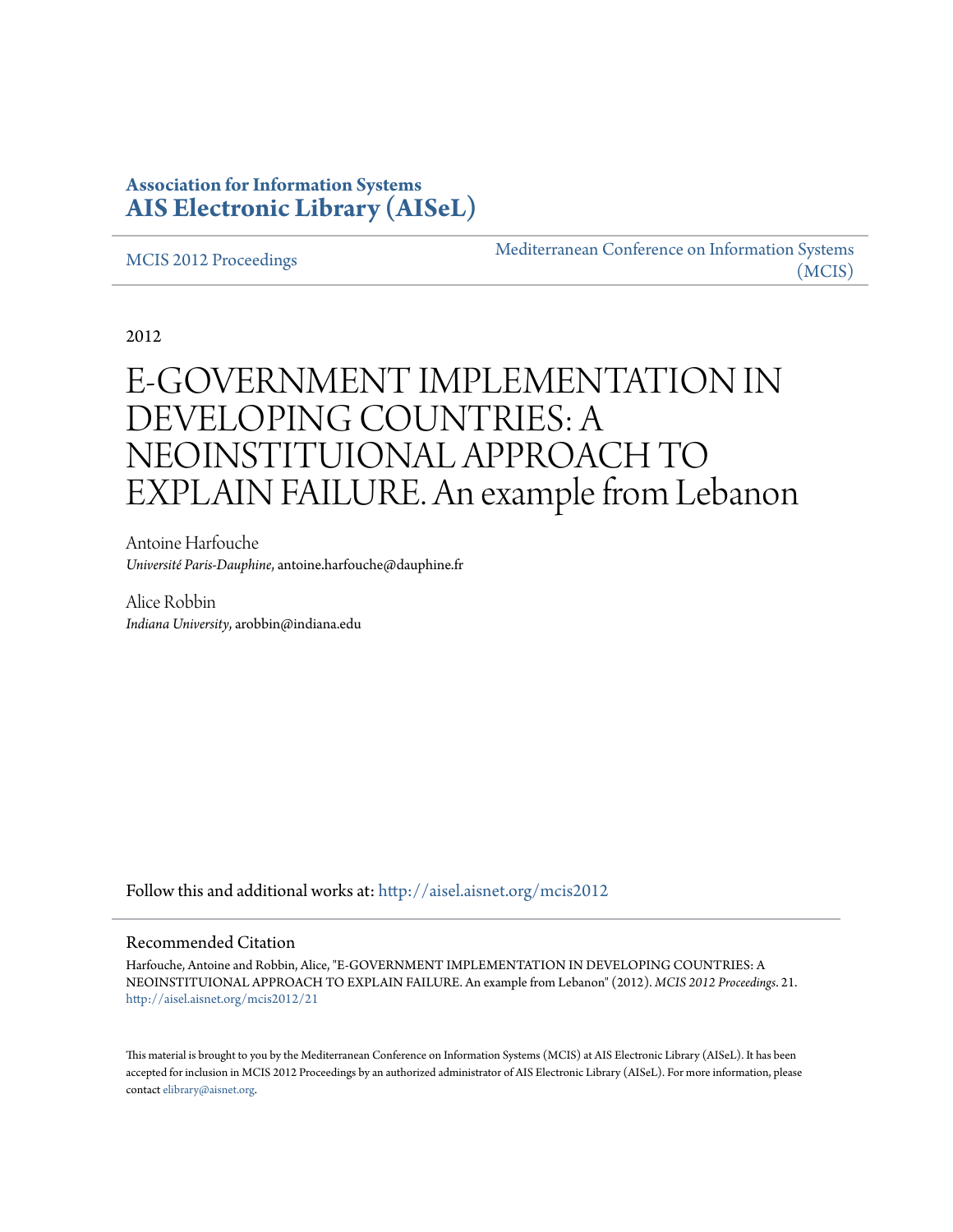# **Association for Information Systems [AIS Electronic Library \(AISeL\)](http://aisel.aisnet.org?utm_source=aisel.aisnet.org%2Fmcis2012%2F21&utm_medium=PDF&utm_campaign=PDFCoverPages)**

[MCIS 2012 Proceedings](http://aisel.aisnet.org/mcis2012?utm_source=aisel.aisnet.org%2Fmcis2012%2F21&utm_medium=PDF&utm_campaign=PDFCoverPages)

[Mediterranean Conference on Information Systems](http://aisel.aisnet.org/mcis?utm_source=aisel.aisnet.org%2Fmcis2012%2F21&utm_medium=PDF&utm_campaign=PDFCoverPages) [\(MCIS\)](http://aisel.aisnet.org/mcis?utm_source=aisel.aisnet.org%2Fmcis2012%2F21&utm_medium=PDF&utm_campaign=PDFCoverPages)

2012

# E-GOVERNMENT IMPLEMENTATION IN DEVELOPING COUNTRIES: A NEOINSTITUIONAL APPROACH TO EXPLAIN FAILURE. An example from Lebanon

Antoine Harfouche *Université Paris-Dauphine*, antoine.harfouche@dauphine.fr

Alice Robbin *Indiana University*, arobbin@indiana.edu

Follow this and additional works at: [http://aisel.aisnet.org/mcis2012](http://aisel.aisnet.org/mcis2012?utm_source=aisel.aisnet.org%2Fmcis2012%2F21&utm_medium=PDF&utm_campaign=PDFCoverPages)

#### Recommended Citation

Harfouche, Antoine and Robbin, Alice, "E-GOVERNMENT IMPLEMENTATION IN DEVELOPING COUNTRIES: A NEOINSTITUIONAL APPROACH TO EXPLAIN FAILURE. An example from Lebanon" (2012). *MCIS 2012 Proceedings*. 21. [http://aisel.aisnet.org/mcis2012/21](http://aisel.aisnet.org/mcis2012/21?utm_source=aisel.aisnet.org%2Fmcis2012%2F21&utm_medium=PDF&utm_campaign=PDFCoverPages)

This material is brought to you by the Mediterranean Conference on Information Systems (MCIS) at AIS Electronic Library (AISeL). It has been accepted for inclusion in MCIS 2012 Proceedings by an authorized administrator of AIS Electronic Library (AISeL). For more information, please contact [elibrary@aisnet.org.](mailto:elibrary@aisnet.org%3E)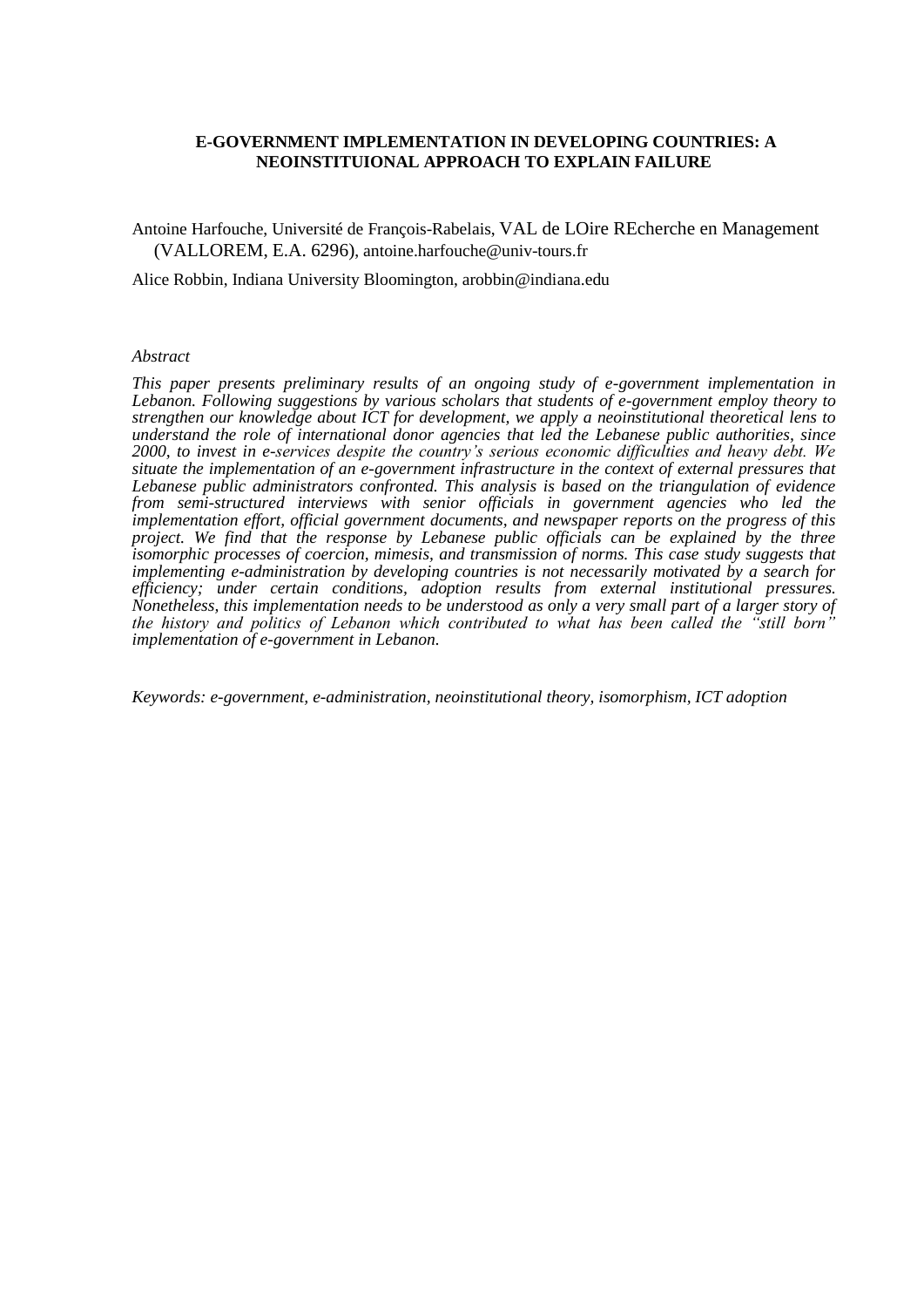#### **E-GOVERNMENT IMPLEMENTATION IN DEVELOPING COUNTRIES: A NEOINSTITUIONAL APPROACH TO EXPLAIN FAILURE**

Antoine Harfouche, Université de François-Rabelais, VAL de LOire REcherche en Management (VALLOREM, E.A. 6296), antoine.harfouche@univ-tours.fr

Alice Robbin, Indiana University Bloomington, arobbin@indiana.edu

#### *Abstract*

*This paper presents preliminary results of an ongoing study of e-government implementation in Lebanon. Following suggestions by various scholars that students of e-government employ theory to strengthen our knowledge about ICT for development, we apply a neoinstitutional theoretical lens to understand the role of international donor agencies that led the Lebanese public authorities, since 2000, to invest in e-services despite the country's serious economic difficulties and heavy debt. We situate the implementation of an e-government infrastructure in the context of external pressures that Lebanese public administrators confronted. This analysis is based on the triangulation of evidence from semi-structured interviews with senior officials in government agencies who led the implementation effort, official government documents, and newspaper reports on the progress of this project. We find that the response by Lebanese public officials can be explained by the three isomorphic processes of coercion, mimesis, and transmission of norms. This case study suggests that implementing e-administration by developing countries is not necessarily motivated by a search for efficiency; under certain conditions, adoption results from external institutional pressures. Nonetheless, this implementation needs to be understood as only a very small part of a larger story of the history and politics of Lebanon which contributed to what has been called the "still born" implementation of e-government in Lebanon.* 

*Keywords: e-government, e-administration, neoinstitutional theory, isomorphism, ICT adoption*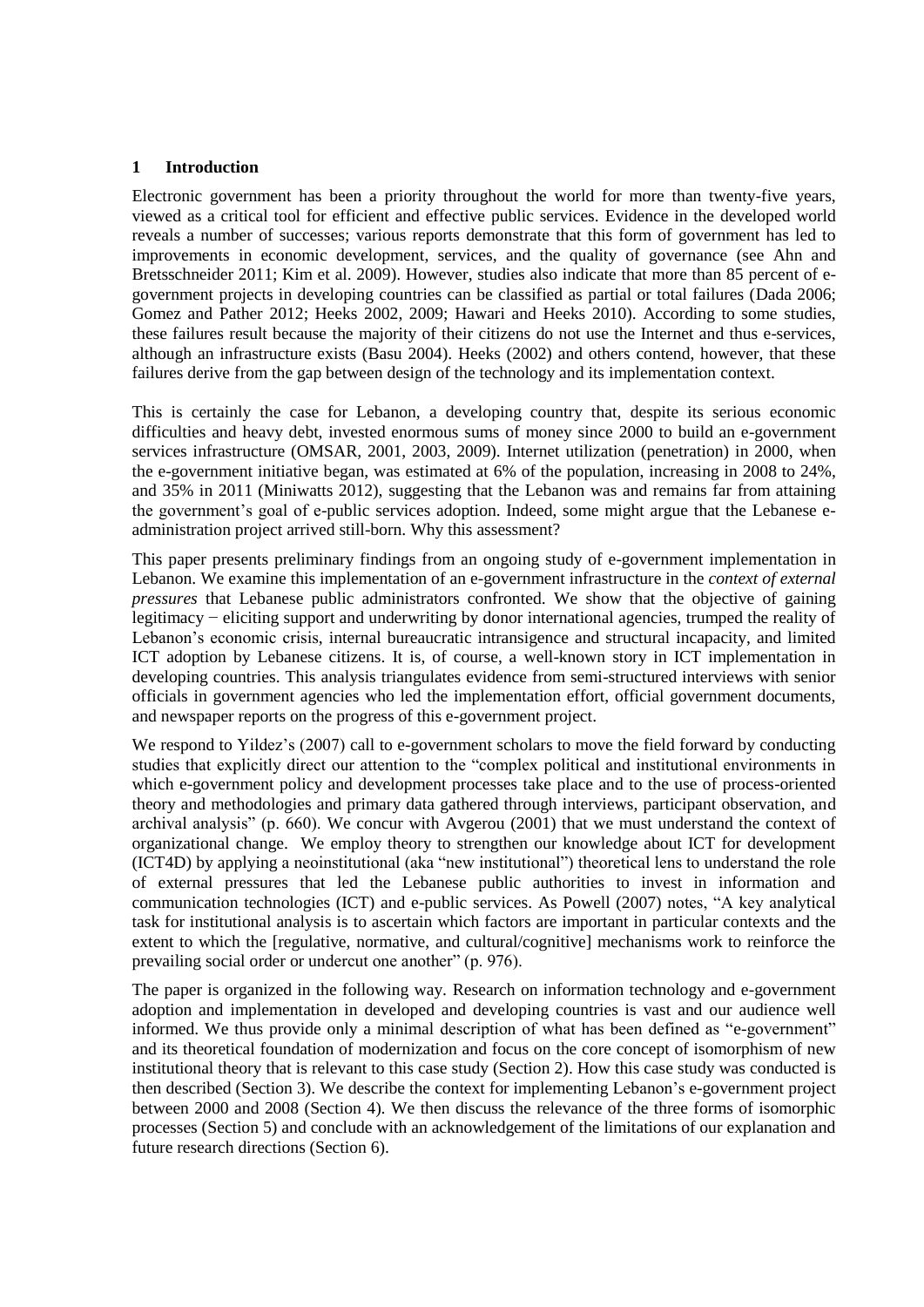#### **1 Introduction**

Electronic government has been a priority throughout the world for more than twenty-five years, viewed as a critical tool for efficient and effective public services. Evidence in the developed world reveals a number of successes; various reports demonstrate that this form of government has led to improvements in economic development, services, and the quality of governance (see Ahn and Bretsschneider 2011; Kim et al. 2009). However, studies also indicate that more than 85 percent of egovernment projects in developing countries can be classified as partial or total failures (Dada 2006; Gomez and Pather 2012; Heeks 2002, 2009; Hawari and Heeks 2010). According to some studies, these failures result because the majority of their citizens do not use the Internet and thus e-services, although an infrastructure exists (Basu 2004). Heeks (2002) and others contend, however, that these failures derive from the gap between design of the technology and its implementation context.

This is certainly the case for Lebanon, a developing country that, despite its serious economic difficulties and heavy debt, invested enormous sums of money since 2000 to build an e-government services infrastructure (OMSAR, 2001, 2003, 2009). Internet utilization (penetration) in 2000, when the e-government initiative began, was estimated at 6% of the population, increasing in 2008 to 24%, and 35% in 2011 (Miniwatts 2012), suggesting that the Lebanon was and remains far from attaining the government"s goal of e-public services adoption. Indeed, some might argue that the Lebanese eadministration project arrived still-born. Why this assessment?

This paper presents preliminary findings from an ongoing study of e-government implementation in Lebanon. We examine this implementation of an e-government infrastructure in the *context of external pressures* that Lebanese public administrators confronted. We show that the objective of gaining legitimacy − eliciting support and underwriting by donor international agencies, trumped the reality of Lebanon"s economic crisis, internal bureaucratic intransigence and structural incapacity, and limited ICT adoption by Lebanese citizens. It is, of course, a well-known story in ICT implementation in developing countries. This analysis triangulates evidence from semi-structured interviews with senior officials in government agencies who led the implementation effort, official government documents, and newspaper reports on the progress of this e-government project.

We respond to Yildez's (2007) call to e-government scholars to move the field forward by conducting studies that explicitly direct our attention to the "complex political and institutional environments in which e-government policy and development processes take place and to the use of process-oriented theory and methodologies and primary data gathered through interviews, participant observation, and archival analysis" (p. 660). We concur with Avgerou (2001) that we must understand the context of organizational change. We employ theory to strengthen our knowledge about ICT for development (ICT4D) by applying a neoinstitutional (aka "new institutional") theoretical lens to understand the role of external pressures that led the Lebanese public authorities to invest in information and communication technologies (ICT) and e-public services. As Powell (2007) notes, "A key analytical task for institutional analysis is to ascertain which factors are important in particular contexts and the extent to which the [regulative, normative, and cultural/cognitive] mechanisms work to reinforce the prevailing social order or undercut one another" (p. 976).

The paper is organized in the following way. Research on information technology and e-government adoption and implementation in developed and developing countries is vast and our audience well informed. We thus provide only a minimal description of what has been defined as "e-government" and its theoretical foundation of modernization and focus on the core concept of isomorphism of new institutional theory that is relevant to this case study (Section 2). How this case study was conducted is then described (Section 3). We describe the context for implementing Lebanon"s e-government project between 2000 and 2008 (Section 4). We then discuss the relevance of the three forms of isomorphic processes (Section 5) and conclude with an acknowledgement of the limitations of our explanation and future research directions (Section 6).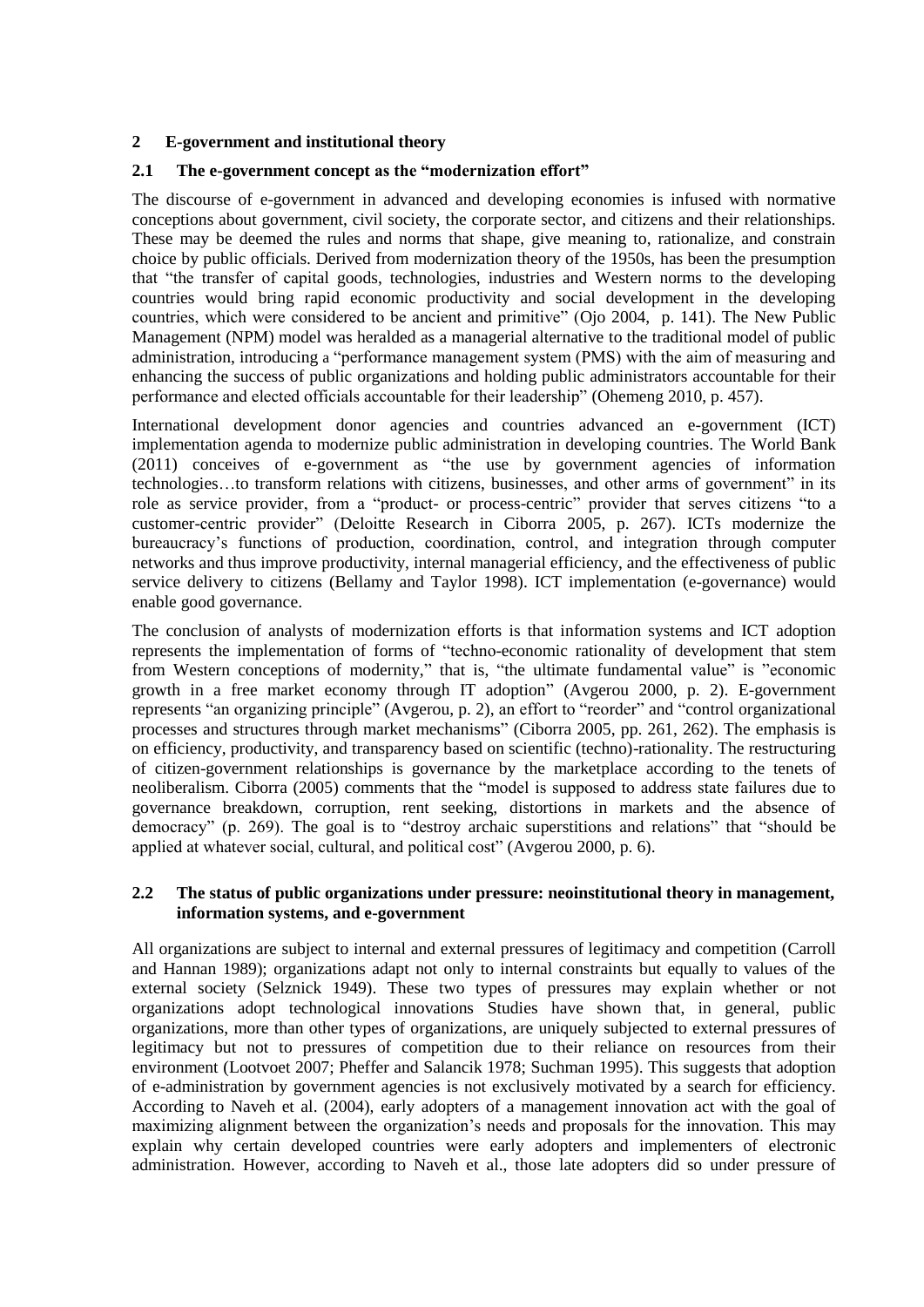#### **2 E-government and institutional theory**

#### **2.1 The e-government concept as the "modernization effort"**

The discourse of e-government in advanced and developing economies is infused with normative conceptions about government, civil society, the corporate sector, and citizens and their relationships. These may be deemed the rules and norms that shape, give meaning to, rationalize, and constrain choice by public officials. Derived from modernization theory of the 1950s, has been the presumption that "the transfer of capital goods, technologies, industries and Western norms to the developing countries would bring rapid economic productivity and social development in the developing countries, which were considered to be ancient and primitive" (Ojo 2004, p. 141). The New Public Management (NPM) model was heralded as a managerial alternative to the traditional model of public administration, introducing a "performance management system (PMS) with the aim of measuring and enhancing the success of public organizations and holding public administrators accountable for their performance and elected officials accountable for their leadership" (Ohemeng 2010, p. 457).

International development donor agencies and countries advanced an e-government (ICT) implementation agenda to modernize public administration in developing countries. The World Bank (2011) conceives of e-government as "the use by government agencies of information technologies…to transform relations with citizens, businesses, and other arms of government" in its role as service provider, from a "product- or process-centric" provider that serves citizens "to a customer-centric provider" (Deloitte Research in Ciborra 2005, p. 267). ICTs modernize the bureaucracy's functions of production, coordination, control, and integration through computer networks and thus improve productivity, internal managerial efficiency, and the effectiveness of public service delivery to citizens (Bellamy and Taylor 1998). ICT implementation (e-governance) would enable good governance.

The conclusion of analysts of modernization efforts is that information systems and ICT adoption represents the implementation of forms of "techno-economic rationality of development that stem from Western conceptions of modernity," that is, "the ultimate fundamental value" is "economic growth in a free market economy through IT adoption" (Avgerou 2000, p. 2). E-government represents "an organizing principle" (Avgerou, p. 2), an effort to "reorder" and "control organizational processes and structures through market mechanisms" (Ciborra 2005, pp. 261, 262). The emphasis is on efficiency, productivity, and transparency based on scientific (techno)-rationality. The restructuring of citizen-government relationships is governance by the marketplace according to the tenets of neoliberalism. Ciborra (2005) comments that the "model is supposed to address state failures due to governance breakdown, corruption, rent seeking, distortions in markets and the absence of democracy" (p. 269). The goal is to "destroy archaic superstitions and relations" that "should be applied at whatever social, cultural, and political cost" (Avgerou 2000, p. 6).

#### **2.2 The status of public organizations under pressure: neoinstitutional theory in management, information systems, and e-government**

All organizations are subject to internal and external pressures of legitimacy and competition (Carroll and Hannan 1989); organizations adapt not only to internal constraints but equally to values of the external society (Selznick 1949). These two types of pressures may explain whether or not organizations adopt technological innovations Studies have shown that, in general, public organizations, more than other types of organizations, are uniquely subjected to external pressures of legitimacy but not to pressures of competition due to their reliance on resources from their environment (Lootvoet 2007; Pheffer and Salancik 1978; Suchman 1995). This suggests that adoption of e-administration by government agencies is not exclusively motivated by a search for efficiency. According to Naveh et al. (2004), early adopters of a management innovation act with the goal of maximizing alignment between the organization"s needs and proposals for the innovation. This may explain why certain developed countries were early adopters and implementers of electronic administration. However, according to Naveh et al., those late adopters did so under pressure of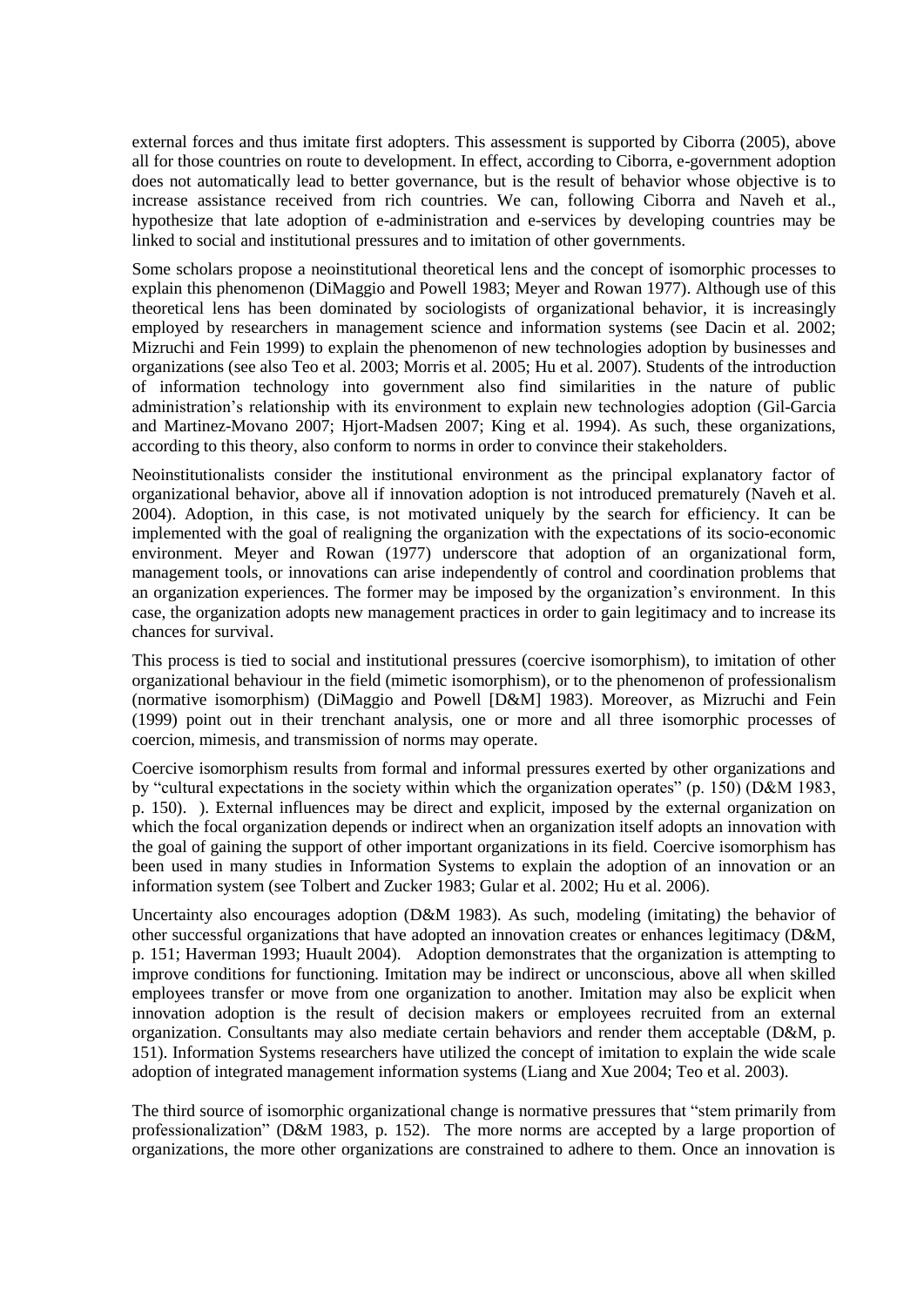external forces and thus imitate first adopters. This assessment is supported by Ciborra (2005), above all for those countries on route to development. In effect, according to Ciborra, e-government adoption does not automatically lead to better governance, but is the result of behavior whose objective is to increase assistance received from rich countries. We can, following Ciborra and Naveh et al., hypothesize that late adoption of e-administration and e-services by developing countries may be linked to social and institutional pressures and to imitation of other governments.

Some scholars propose a neoinstitutional theoretical lens and the concept of isomorphic processes to explain this phenomenon (DiMaggio and Powell 1983; Meyer and Rowan 1977). Although use of this theoretical lens has been dominated by sociologists of organizational behavior, it is increasingly employed by researchers in management science and information systems (see Dacin et al. 2002; Mizruchi and Fein 1999) to explain the phenomenon of new technologies adoption by businesses and organizations (see also Teo et al. 2003; Morris et al. 2005; Hu et al. 2007). Students of the introduction of information technology into government also find similarities in the nature of public administration"s relationship with its environment to explain new technologies adoption (Gil-Garcia and Martinez-Movano 2007; Hjort-Madsen 2007; King et al. 1994). As such, these organizations, according to this theory, also conform to norms in order to convince their stakeholders.

Neoinstitutionalists consider the institutional environment as the principal explanatory factor of organizational behavior, above all if innovation adoption is not introduced prematurely (Naveh et al. 2004). Adoption, in this case, is not motivated uniquely by the search for efficiency. It can be implemented with the goal of realigning the organization with the expectations of its socio-economic environment. Meyer and Rowan (1977) underscore that adoption of an organizational form, management tools, or innovations can arise independently of control and coordination problems that an organization experiences. The former may be imposed by the organization"s environment. In this case, the organization adopts new management practices in order to gain legitimacy and to increase its chances for survival.

This process is tied to social and institutional pressures (coercive isomorphism), to imitation of other organizational behaviour in the field (mimetic isomorphism), or to the phenomenon of professionalism (normative isomorphism) (DiMaggio and Powell [D&M] 1983). Moreover, as Mizruchi and Fein (1999) point out in their trenchant analysis, one or more and all three isomorphic processes of coercion, mimesis, and transmission of norms may operate.

Coercive isomorphism results from formal and informal pressures exerted by other organizations and by "cultural expectations in the society within which the organization operates" (p. 150) (D&M 1983, p. 150). ). External influences may be direct and explicit, imposed by the external organization on which the focal organization depends or indirect when an organization itself adopts an innovation with the goal of gaining the support of other important organizations in its field. Coercive isomorphism has been used in many studies in Information Systems to explain the adoption of an innovation or an information system (see Tolbert and Zucker 1983; Gular et al. 2002; Hu et al. 2006).

Uncertainty also encourages adoption (D&M 1983). As such, modeling (imitating) the behavior of other successful organizations that have adopted an innovation creates or enhances legitimacy (D&M, p. 151; Haverman 1993; Huault 2004). Adoption demonstrates that the organization is attempting to improve conditions for functioning. Imitation may be indirect or unconscious, above all when skilled employees transfer or move from one organization to another. Imitation may also be explicit when innovation adoption is the result of decision makers or employees recruited from an external organization. Consultants may also mediate certain behaviors and render them acceptable (D&M, p. 151). Information Systems researchers have utilized the concept of imitation to explain the wide scale adoption of integrated management information systems (Liang and Xue 2004; Teo et al. 2003).

The third source of isomorphic organizational change is normative pressures that "stem primarily from professionalization" (D&M 1983, p. 152). The more norms are accepted by a large proportion of organizations, the more other organizations are constrained to adhere to them. Once an innovation is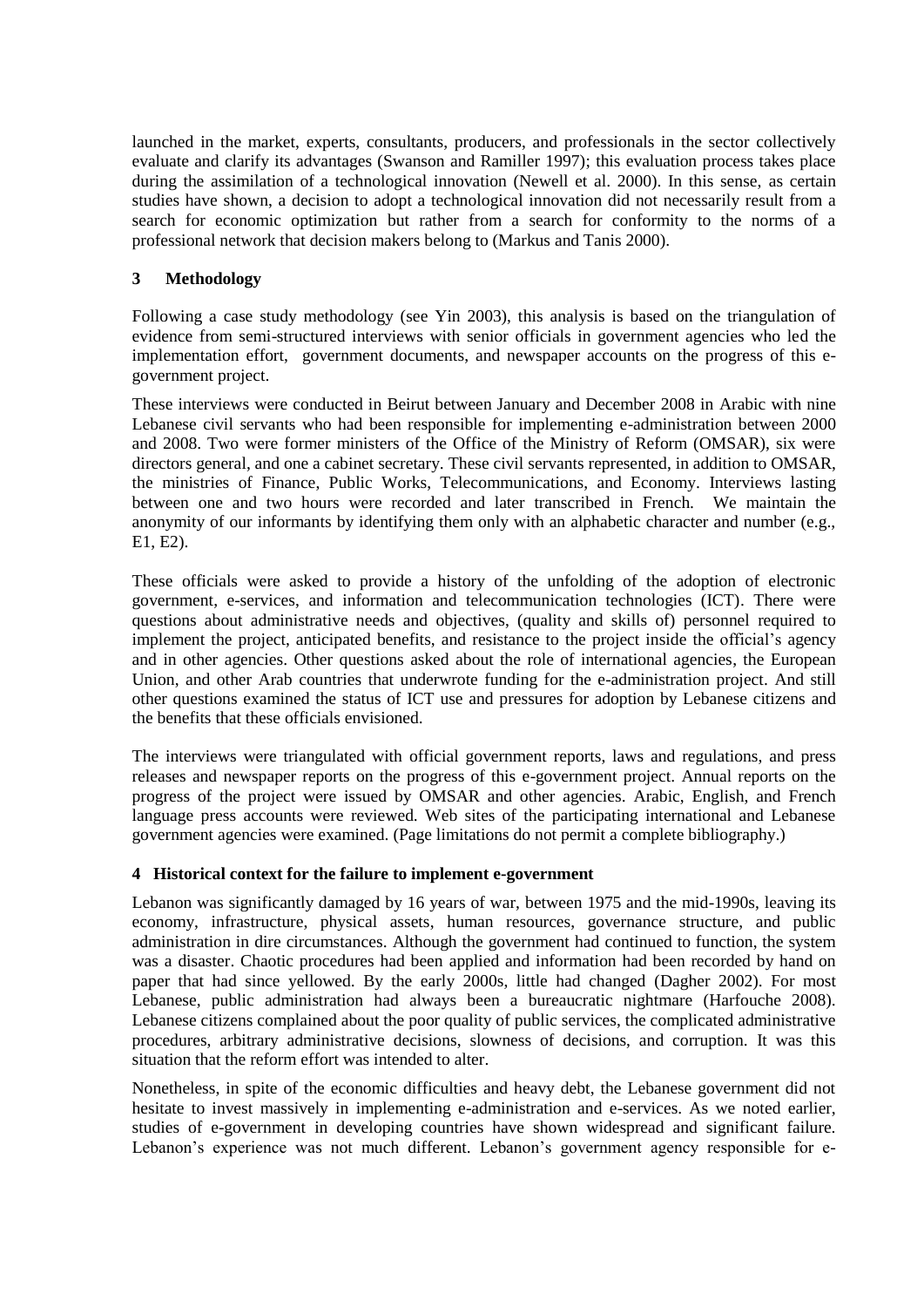launched in the market, experts, consultants, producers, and professionals in the sector collectively evaluate and clarify its advantages (Swanson and Ramiller 1997); this evaluation process takes place during the assimilation of a technological innovation (Newell et al. 2000). In this sense, as certain studies have shown, a decision to adopt a technological innovation did not necessarily result from a search for economic optimization but rather from a search for conformity to the norms of a professional network that decision makers belong to (Markus and Tanis 2000).

### **3 Methodology**

Following a case study methodology (see Yin 2003), this analysis is based on the triangulation of evidence from semi-structured interviews with senior officials in government agencies who led the implementation effort, government documents, and newspaper accounts on the progress of this egovernment project.

These interviews were conducted in Beirut between January and December 2008 in Arabic with nine Lebanese civil servants who had been responsible for implementing e-administration between 2000 and 2008. Two were former ministers of the Office of the Ministry of Reform (OMSAR), six were directors general, and one a cabinet secretary. These civil servants represented, in addition to OMSAR, the ministries of Finance, Public Works, Telecommunications, and Economy. Interviews lasting between one and two hours were recorded and later transcribed in French. We maintain the anonymity of our informants by identifying them only with an alphabetic character and number (e.g., E1, E2).

These officials were asked to provide a history of the unfolding of the adoption of electronic government, e-services, and information and telecommunication technologies (ICT). There were questions about administrative needs and objectives, (quality and skills of) personnel required to implement the project, anticipated benefits, and resistance to the project inside the official's agency and in other agencies. Other questions asked about the role of international agencies, the European Union, and other Arab countries that underwrote funding for the e-administration project. And still other questions examined the status of ICT use and pressures for adoption by Lebanese citizens and the benefits that these officials envisioned.

The interviews were triangulated with official government reports, laws and regulations, and press releases and newspaper reports on the progress of this e-government project. Annual reports on the progress of the project were issued by OMSAR and other agencies. Arabic, English, and French language press accounts were reviewed. Web sites of the participating international and Lebanese government agencies were examined. (Page limitations do not permit a complete bibliography.)

#### **4 Historical context for the failure to implement e-government**

Lebanon was significantly damaged by 16 years of war, between 1975 and the mid-1990s, leaving its economy, infrastructure, physical assets, human resources, governance structure, and public administration in dire circumstances. Although the government had continued to function, the system was a disaster. Chaotic procedures had been applied and information had been recorded by hand on paper that had since yellowed. By the early 2000s, little had changed (Dagher 2002). For most Lebanese, public administration had always been a bureaucratic nightmare (Harfouche 2008). Lebanese citizens complained about the poor quality of public services, the complicated administrative procedures, arbitrary administrative decisions, slowness of decisions, and corruption. It was this situation that the reform effort was intended to alter.

Nonetheless, in spite of the economic difficulties and heavy debt, the Lebanese government did not hesitate to invest massively in implementing e-administration and e-services. As we noted earlier, studies of e-government in developing countries have shown widespread and significant failure. Lebanon's experience was not much different. Lebanon's government agency responsible for e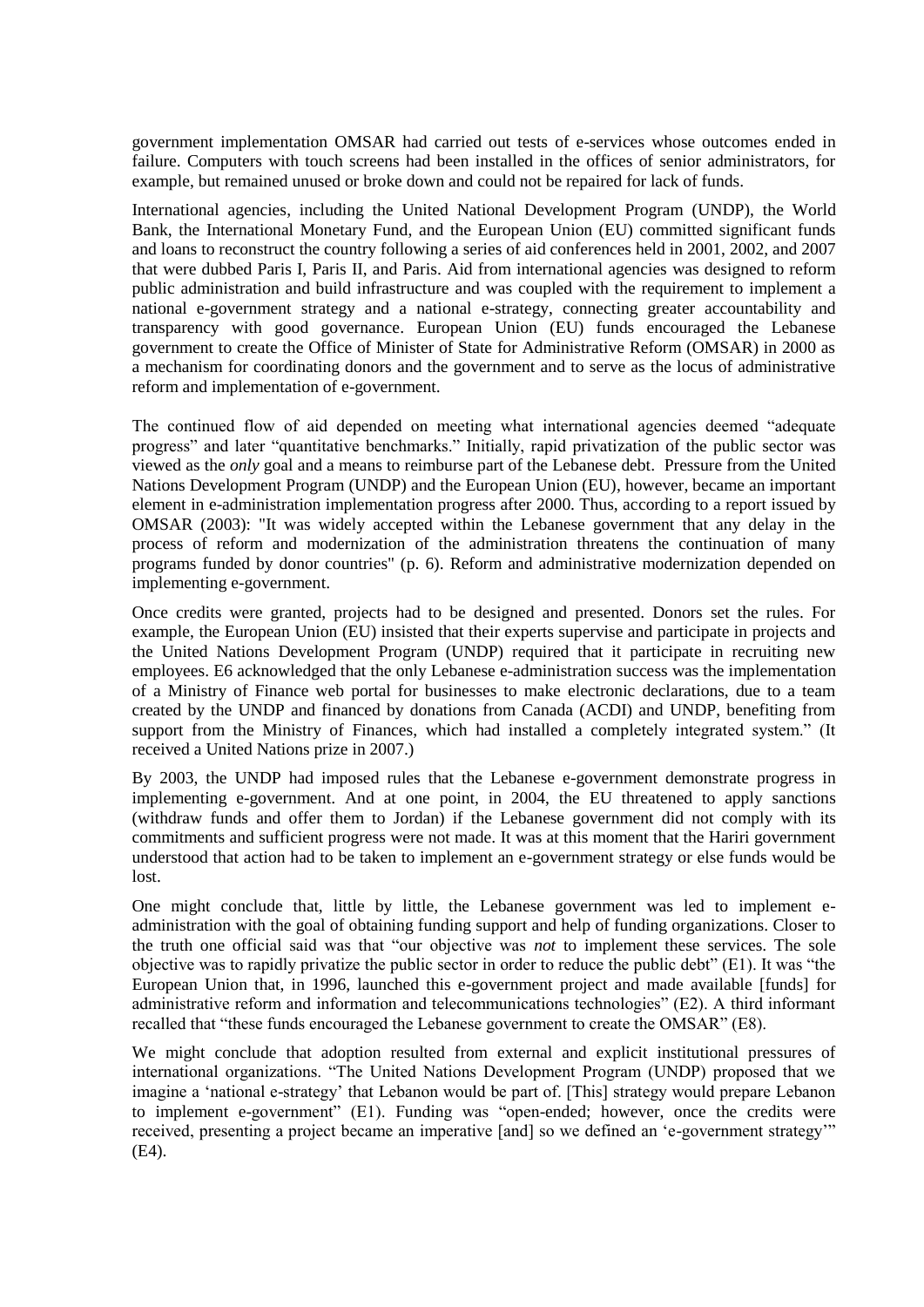government implementation OMSAR had carried out tests of e-services whose outcomes ended in failure. Computers with touch screens had been installed in the offices of senior administrators, for example, but remained unused or broke down and could not be repaired for lack of funds.

International agencies, including the United National Development Program (UNDP), the World Bank, the International Monetary Fund, and the European Union (EU) committed significant funds and loans to reconstruct the country following a series of aid conferences held in 2001, 2002, and 2007 that were dubbed Paris I, Paris II, and Paris. Aid from international agencies was designed to reform public administration and build infrastructure and was coupled with the requirement to implement a national e-government strategy and a national e-strategy, connecting greater accountability and transparency with good governance. European Union (EU) funds encouraged the Lebanese government to create the Office of Minister of State for Administrative Reform (OMSAR) in 2000 as a mechanism for coordinating donors and the government and to serve as the locus of administrative reform and implementation of e-government.

The continued flow of aid depended on meeting what international agencies deemed "adequate progress" and later "quantitative benchmarks." Initially, rapid privatization of the public sector was viewed as the *only* goal and a means to reimburse part of the Lebanese debt. Pressure from the United Nations Development Program (UNDP) and the European Union (EU), however, became an important element in e-administration implementation progress after 2000. Thus, according to a report issued by OMSAR (2003): "It was widely accepted within the Lebanese government that any delay in the process of reform and modernization of the administration threatens the continuation of many programs funded by donor countries" (p. 6). Reform and administrative modernization depended on implementing e-government.

Once credits were granted, projects had to be designed and presented. Donors set the rules. For example, the European Union (EU) insisted that their experts supervise and participate in projects and the United Nations Development Program (UNDP) required that it participate in recruiting new employees. E6 acknowledged that the only Lebanese e-administration success was the implementation of a Ministry of Finance web portal for businesses to make electronic declarations, due to a team created by the UNDP and financed by donations from Canada (ACDI) and UNDP, benefiting from support from the Ministry of Finances, which had installed a completely integrated system." (It received a United Nations prize in 2007.)

By 2003, the UNDP had imposed rules that the Lebanese e-government demonstrate progress in implementing e-government. And at one point, in 2004, the EU threatened to apply sanctions (withdraw funds and offer them to Jordan) if the Lebanese government did not comply with its commitments and sufficient progress were not made. It was at this moment that the Hariri government understood that action had to be taken to implement an e-government strategy or else funds would be lost.

One might conclude that, little by little, the Lebanese government was led to implement eadministration with the goal of obtaining funding support and help of funding organizations. Closer to the truth one official said was that "our objective was *not* to implement these services. The sole objective was to rapidly privatize the public sector in order to reduce the public debt" (E1). It was "the European Union that, in 1996, launched this e-government project and made available [funds] for administrative reform and information and telecommunications technologies" (E2). A third informant recalled that "these funds encouraged the Lebanese government to create the OMSAR" (E8).

We might conclude that adoption resulted from external and explicit institutional pressures of international organizations. "The United Nations Development Program (UNDP) proposed that we imagine a "national e-strategy" that Lebanon would be part of. [This] strategy would prepare Lebanon to implement e-government" (E1). Funding was "open-ended; however, once the credits were received, presenting a project became an imperative [and] so we defined an "e-government strategy"" (E4).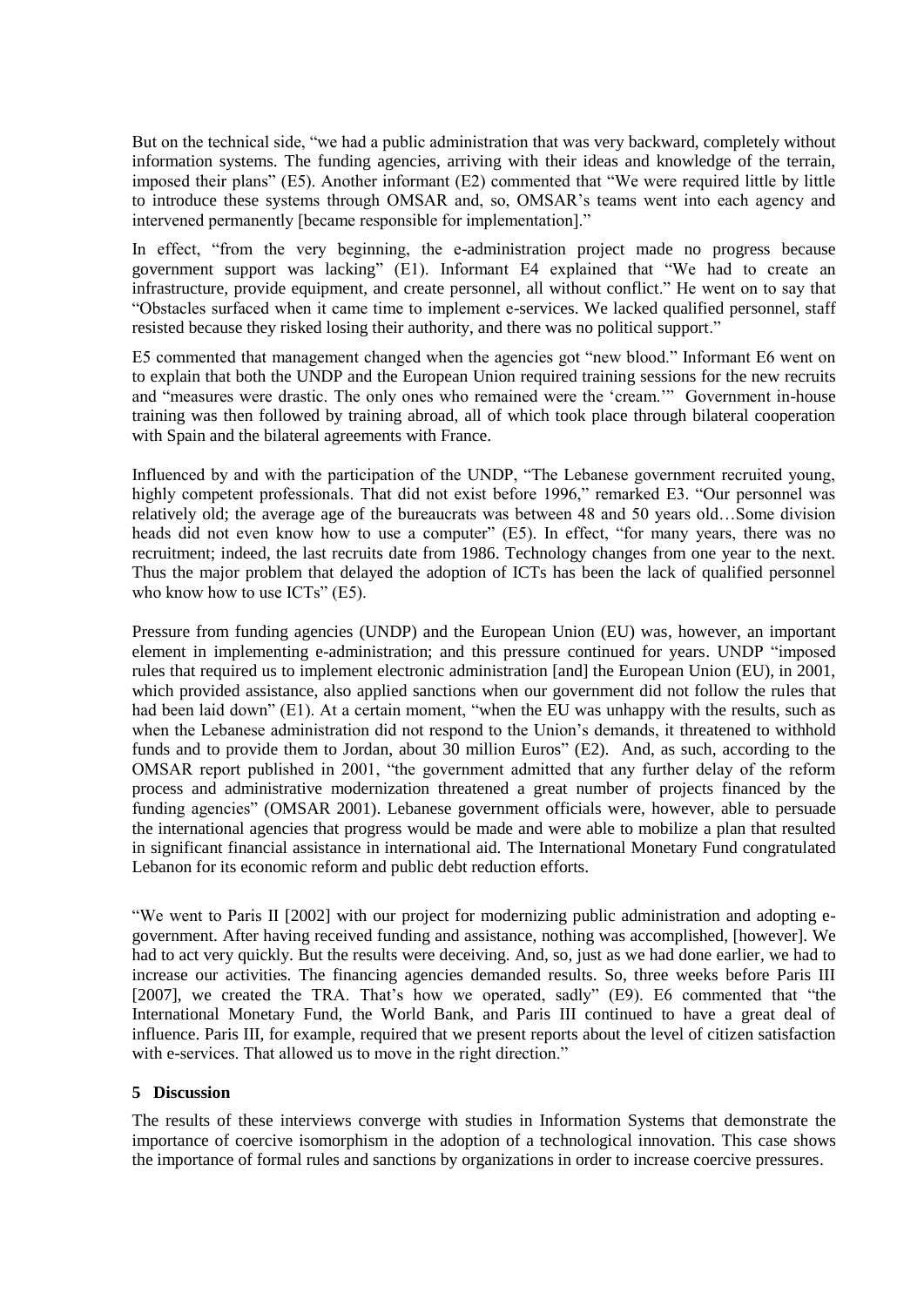But on the technical side, "we had a public administration that was very backward, completely without information systems. The funding agencies, arriving with their ideas and knowledge of the terrain, imposed their plans" (E5). Another informant (E2) commented that "We were required little by little to introduce these systems through OMSAR and, so, OMSAR"s teams went into each agency and intervened permanently [became responsible for implementation]."

In effect, "from the very beginning, the e-administration project made no progress because government support was lacking" (E1). Informant E4 explained that "We had to create an infrastructure, provide equipment, and create personnel, all without conflict." He went on to say that "Obstacles surfaced when it came time to implement e-services. We lacked qualified personnel, staff resisted because they risked losing their authority, and there was no political support."

E5 commented that management changed when the agencies got "new blood." Informant E6 went on to explain that both the UNDP and the European Union required training sessions for the new recruits and "measures were drastic. The only ones who remained were the "cream."" Government in-house training was then followed by training abroad, all of which took place through bilateral cooperation with Spain and the bilateral agreements with France.

Influenced by and with the participation of the UNDP, "The Lebanese government recruited young, highly competent professionals. That did not exist before 1996," remarked E3. "Our personnel was relatively old; the average age of the bureaucrats was between 48 and 50 years old…Some division heads did not even know how to use a computer" (E5). In effect, "for many years, there was no recruitment; indeed, the last recruits date from 1986. Technology changes from one year to the next. Thus the major problem that delayed the adoption of ICTs has been the lack of qualified personnel who know how to use ICTs" (E5).

Pressure from funding agencies (UNDP) and the European Union (EU) was, however, an important element in implementing e-administration; and this pressure continued for years. UNDP "imposed rules that required us to implement electronic administration [and] the European Union (EU), in 2001, which provided assistance, also applied sanctions when our government did not follow the rules that had been laid down" (E1). At a certain moment, "when the EU was unhappy with the results, such as when the Lebanese administration did not respond to the Union's demands, it threatened to withhold funds and to provide them to Jordan, about 30 million Euros" (E2). And, as such, according to the OMSAR report published in 2001, "the government admitted that any further delay of the reform process and administrative modernization threatened a great number of projects financed by the funding agencies" (OMSAR 2001). Lebanese government officials were, however, able to persuade the international agencies that progress would be made and were able to mobilize a plan that resulted in significant financial assistance in international aid. The International Monetary Fund congratulated Lebanon for its economic reform and public debt reduction efforts.

"We went to Paris II [2002] with our project for modernizing public administration and adopting egovernment. After having received funding and assistance, nothing was accomplished, [however]. We had to act very quickly. But the results were deceiving. And, so, just as we had done earlier, we had to increase our activities. The financing agencies demanded results. So, three weeks before Paris III [2007], we created the TRA. That's how we operated, sadly" (E9). E6 commented that "the International Monetary Fund, the World Bank, and Paris III continued to have a great deal of influence. Paris III, for example, required that we present reports about the level of citizen satisfaction with e-services. That allowed us to move in the right direction."

#### **5 Discussion**

The results of these interviews converge with studies in Information Systems that demonstrate the importance of coercive isomorphism in the adoption of a technological innovation. This case shows the importance of formal rules and sanctions by organizations in order to increase coercive pressures.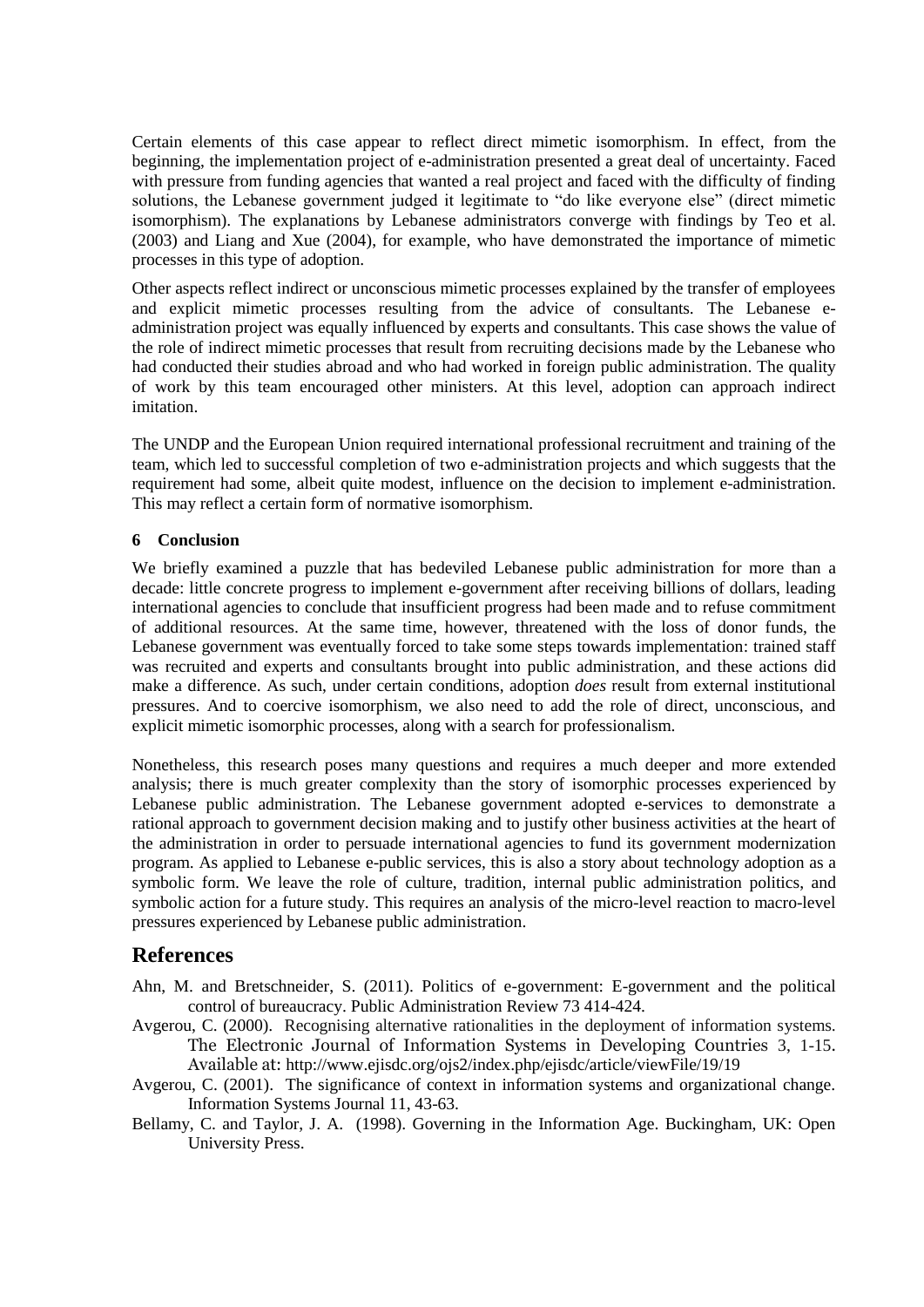Certain elements of this case appear to reflect direct mimetic isomorphism. In effect, from the beginning, the implementation project of e-administration presented a great deal of uncertainty. Faced with pressure from funding agencies that wanted a real project and faced with the difficulty of finding solutions, the Lebanese government judged it legitimate to "do like everyone else" (direct mimetic isomorphism). The explanations by Lebanese administrators converge with findings by Teo et al. (2003) and Liang and Xue (2004), for example, who have demonstrated the importance of mimetic processes in this type of adoption.

Other aspects reflect indirect or unconscious mimetic processes explained by the transfer of employees and explicit mimetic processes resulting from the advice of consultants. The Lebanese eadministration project was equally influenced by experts and consultants. This case shows the value of the role of indirect mimetic processes that result from recruiting decisions made by the Lebanese who had conducted their studies abroad and who had worked in foreign public administration. The quality of work by this team encouraged other ministers. At this level, adoption can approach indirect imitation.

The UNDP and the European Union required international professional recruitment and training of the team, which led to successful completion of two e-administration projects and which suggests that the requirement had some, albeit quite modest, influence on the decision to implement e-administration. This may reflect a certain form of normative isomorphism.

#### **6 Conclusion**

We briefly examined a puzzle that has bedeviled Lebanese public administration for more than a decade: little concrete progress to implement e-government after receiving billions of dollars, leading international agencies to conclude that insufficient progress had been made and to refuse commitment of additional resources. At the same time, however, threatened with the loss of donor funds, the Lebanese government was eventually forced to take some steps towards implementation: trained staff was recruited and experts and consultants brought into public administration, and these actions did make a difference. As such, under certain conditions, adoption *does* result from external institutional pressures. And to coercive isomorphism, we also need to add the role of direct, unconscious, and explicit mimetic isomorphic processes, along with a search for professionalism.

Nonetheless, this research poses many questions and requires a much deeper and more extended analysis; there is much greater complexity than the story of isomorphic processes experienced by Lebanese public administration. The Lebanese government adopted e-services to demonstrate a rational approach to government decision making and to justify other business activities at the heart of the administration in order to persuade international agencies to fund its government modernization program. As applied to Lebanese e-public services, this is also a story about technology adoption as a symbolic form. We leave the role of culture, tradition, internal public administration politics, and symbolic action for a future study. This requires an analysis of the micro-level reaction to macro-level pressures experienced by Lebanese public administration.

## **References**

- Ahn, M. and Bretschneider, S. (2011). Politics of e-government: E-government and the political control of bureaucracy. Public Administration Review 73 414-424.
- Avgerou, C. (2000). Recognising alternative rationalities in the deployment of information systems. The Electronic Journal of Information Systems in Developing Countries 3, 1-15. Available at: http://www.ejisdc.org/ojs2/index.php/ejisdc/article/viewFile/19/19
- Avgerou, C. (2001). The significance of context in information systems and organizational change. Information Systems Journal 11, 43-63.
- Bellamy, C. and Taylor, J. A. (1998). Governing in the Information Age. Buckingham, UK: Open University Press.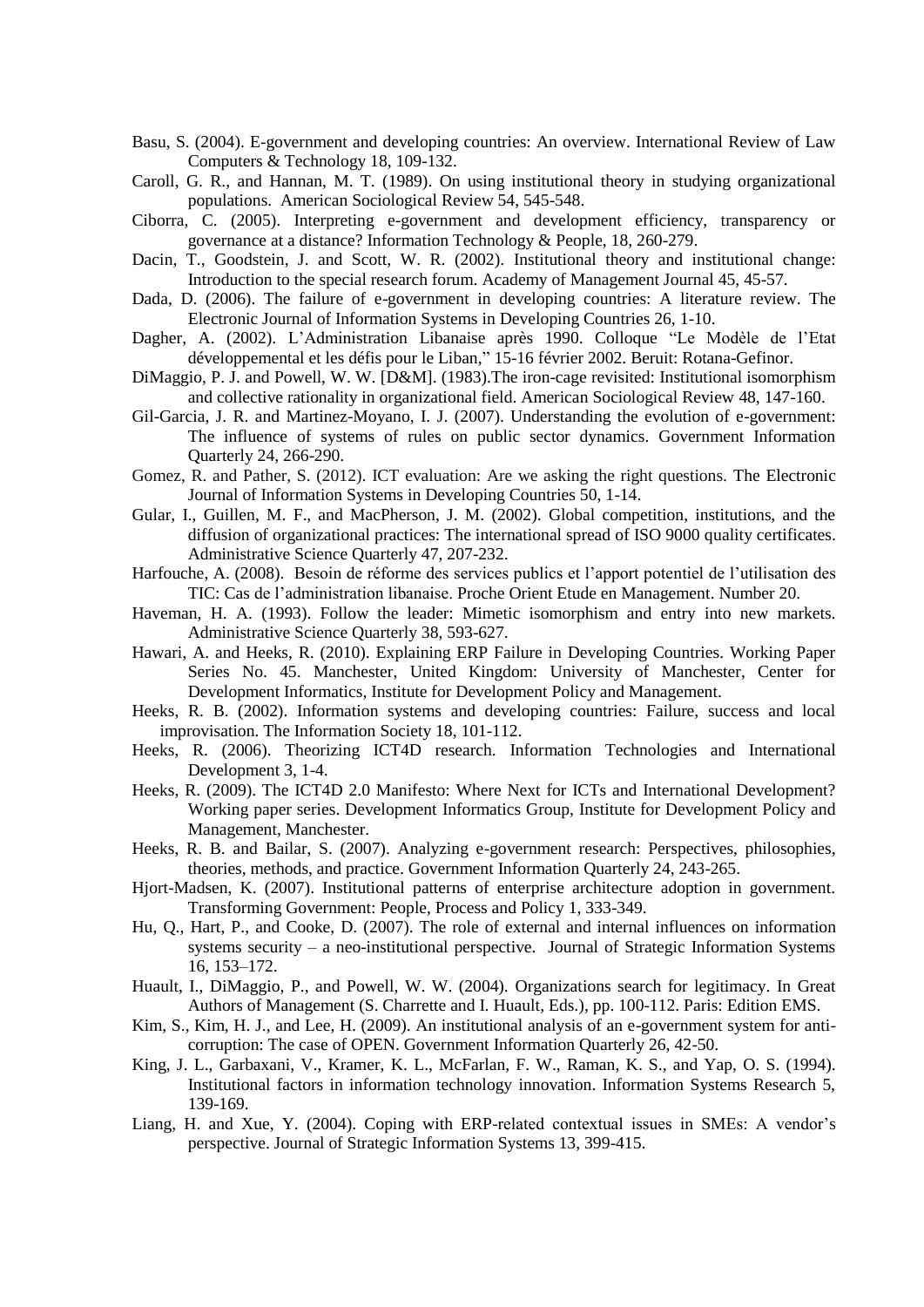- Basu, S. (2004). E-government and developing countries: An overview. International Review of Law Computers & Technology 18, 109-132.
- Caroll, G. R., and Hannan, M. T. (1989). On using institutional theory in studying organizational populations. American Sociological Review 54, 545-548.
- Ciborra, C. (2005). Interpreting e-government and development efficiency, transparency or governance at a distance? Information Technology & People, 18, 260-279.
- Dacin, T., Goodstein, J. and Scott, W. R. (2002). Institutional theory and institutional change: Introduction to the special research forum. Academy of Management Journal 45, 45-57.
- Dada, D. (2006). The failure of e-government in developing countries: A literature review. The Electronic Journal of Information Systems in Developing Countries 26, 1-10.
- Dagher, A. (2002). L"Administration Libanaise après 1990. Colloque "Le Modèle de l"Etat développemental et les défis pour le Liban," 15-16 février 2002. Beruit: Rotana-Gefinor.
- DiMaggio, P. J. and Powell, W. W. [D&M]. (1983).The iron-cage revisited: Institutional isomorphism and collective rationality in organizational field. American Sociological Review 48, 147-160.
- Gil-Garcia, J. R. and Martinez-Moyano, I. J. (2007). Understanding the evolution of e-government: The influence of systems of rules on public sector dynamics. Government Information Quarterly 24, 266-290.
- Gomez, R. and Pather, S. (2012). ICT evaluation: Are we asking the right questions. The Electronic Journal of Information Systems in Developing Countries 50, 1-14.
- Gular, I., Guillen, M. F., and MacPherson, J. M. (2002). Global competition, institutions, and the diffusion of organizational practices: The international spread of ISO 9000 quality certificates. Administrative Science Quarterly 47, 207-232.
- Harfouche, A. (2008). Besoin de réforme des services publics et l"apport potentiel de l"utilisation des TIC: Cas de l"administration libanaise. Proche Orient Etude en Management. Number 20.
- Haveman, H. A. (1993). Follow the leader: Mimetic isomorphism and entry into new markets. Administrative Science Quarterly 38, 593-627.
- Hawari, A. and Heeks, R. (2010). Explaining ERP Failure in Developing Countries. Working Paper Series No. 45. Manchester, United Kingdom: University of Manchester, Center for Development Informatics, Institute for Development Policy and Management.
- Heeks, R. B. (2002). Information systems and developing countries: Failure, success and local improvisation. The Information Society 18, 101-112.
- Heeks, R. (2006). Theorizing ICT4D research. Information Technologies and International Development 3, 1-4.
- Heeks, R. (2009). The ICT4D 2.0 Manifesto: Where Next for ICTs and International Development? Working paper series. Development Informatics Group, Institute for Development Policy and Management, Manchester.
- Heeks, R. B. and Bailar, S. (2007). Analyzing e-government research: Perspectives, philosophies, theories, methods, and practice. Government Information Quarterly 24, 243-265.
- Hjort-Madsen, K. (2007). Institutional patterns of enterprise architecture adoption in government. Transforming Government: People, Process and Policy 1, 333-349.
- Hu, Q., Hart, P., and Cooke, D. (2007). The role of external and internal influences on information systems security – a neo-institutional perspective. Journal of Strategic Information Systems 16, 153–172.
- Huault, I., DiMaggio, P., and Powell, W. W. (2004). Organizations search for legitimacy. In Great Authors of Management (S. Charrette and I. Huault, Eds.), pp. 100-112. Paris: Edition EMS.
- Kim, S., Kim, H. J., and Lee, H. (2009). An institutional analysis of an e-government system for anticorruption: The case of OPEN. Government Information Quarterly 26, 42-50.
- King, J. L., Garbaxani, V., Kramer, K. L., McFarlan, F. W., Raman, K. S., and Yap, O. S. (1994). Institutional factors in information technology innovation. Information Systems Research 5, 139-169.
- Liang, H. and Xue, Y. (2004). Coping with ERP-related contextual issues in SMEs: A vendor"s perspective. Journal of Strategic Information Systems 13, 399-415.